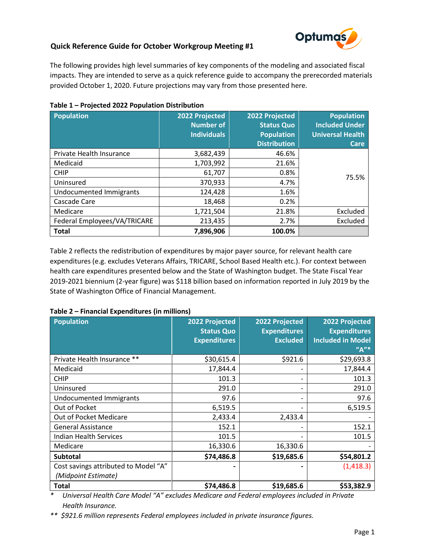## **Quick Reference Guide for October Workgroup Meeting #1**



The following provides high level summaries of key components of the modeling and associated fiscal impacts. They are intended to serve as a quick reference guide to accompany the prerecorded materials provided October 1, 2020. Future projections may vary from those presented here.

| Population                     | 2022 Projected<br><b>Number of</b><br><b>Individuals</b> | 2022 Projected<br><b>Status Quo</b><br><b>Population</b><br><b>Distribution</b> | <b>Population</b><br><b>Included Under</b><br><b>Universal Health</b><br><b>Care</b> |
|--------------------------------|----------------------------------------------------------|---------------------------------------------------------------------------------|--------------------------------------------------------------------------------------|
| Private Health Insurance       | 3,682,439                                                | 46.6%                                                                           |                                                                                      |
| Medicaid                       | 1,703,992                                                | 21.6%                                                                           |                                                                                      |
| <b>CHIP</b>                    | 61,707                                                   | 0.8%                                                                            |                                                                                      |
| Uninsured                      | 370,933                                                  | 4.7%                                                                            | 75.5%                                                                                |
| <b>Undocumented Immigrants</b> | 124,428                                                  | 1.6%                                                                            |                                                                                      |
| Cascade Care                   | 18,468                                                   | 0.2%                                                                            |                                                                                      |
| Medicare                       | 1,721,504                                                | 21.8%                                                                           | Excluded                                                                             |
| Federal Employees/VA/TRICARE   | 213,435                                                  | 2.7%                                                                            | Excluded                                                                             |
| <b>Total</b>                   | 7,896,906                                                | 100.0%                                                                          |                                                                                      |

## **Table 1 – Projected 2022 Population Distribution**

Table 2 reflects the redistribution of expenditures by major payer source, for relevant health care expenditures (e.g. excludes Veterans Affairs, TRICARE, School Based Health etc.). For context between health care expenditures presented below and the State of Washington budget. The State Fiscal Year 2019-2021 biennium (2-year figure) was \$118 billion based on information reported in July 2019 by the State of Washington Office of Financial Management.

## **Table 2 – Financial Expenditures (in millions)**

| <b>Population</b>                    | 2022 Projected<br><b>Status Quo</b> | 2022 Projected<br><b>Expenditures</b> | 2022 Projected<br><b>Expenditures</b> |
|--------------------------------------|-------------------------------------|---------------------------------------|---------------------------------------|
|                                      | <b>Expenditures</b>                 | <b>Excluded</b>                       | <b>Included in Model</b>              |
|                                      |                                     |                                       | $''A''^*$                             |
| Private Health Insurance **          | \$30,615.4                          | \$921.6                               | \$29,693.8                            |
| Medicaid                             | 17,844.4                            |                                       | 17,844.4                              |
| <b>CHIP</b>                          | 101.3                               |                                       | 101.3                                 |
| Uninsured                            | 291.0                               | -                                     | 291.0                                 |
| Undocumented Immigrants              | 97.6                                | -                                     | 97.6                                  |
| Out of Pocket                        | 6,519.5                             |                                       | 6,519.5                               |
| Out of Pocket Medicare               | 2,433.4                             | 2,433.4                               |                                       |
| <b>General Assistance</b>            | 152.1                               |                                       | 152.1                                 |
| <b>Indian Health Services</b>        | 101.5                               |                                       | 101.5                                 |
| Medicare                             | 16,330.6                            | 16,330.6                              |                                       |
| <b>Subtotal</b>                      | \$74,486.8                          | \$19,685.6                            | \$54,801.2                            |
| Cost savings attributed to Model "A" |                                     |                                       | (1,418.3)                             |
| (Midpoint Estimate)                  |                                     |                                       |                                       |
| <b>Total</b>                         | \$74,486.8                          | \$19,685.6                            | \$53,382.9                            |

*\* Universal Health Care Model "A" excludes Medicare and Federal employees included in Private Health Insurance.*

*\*\* \$921.6 million represents Federal employees included in private insurance figures.*